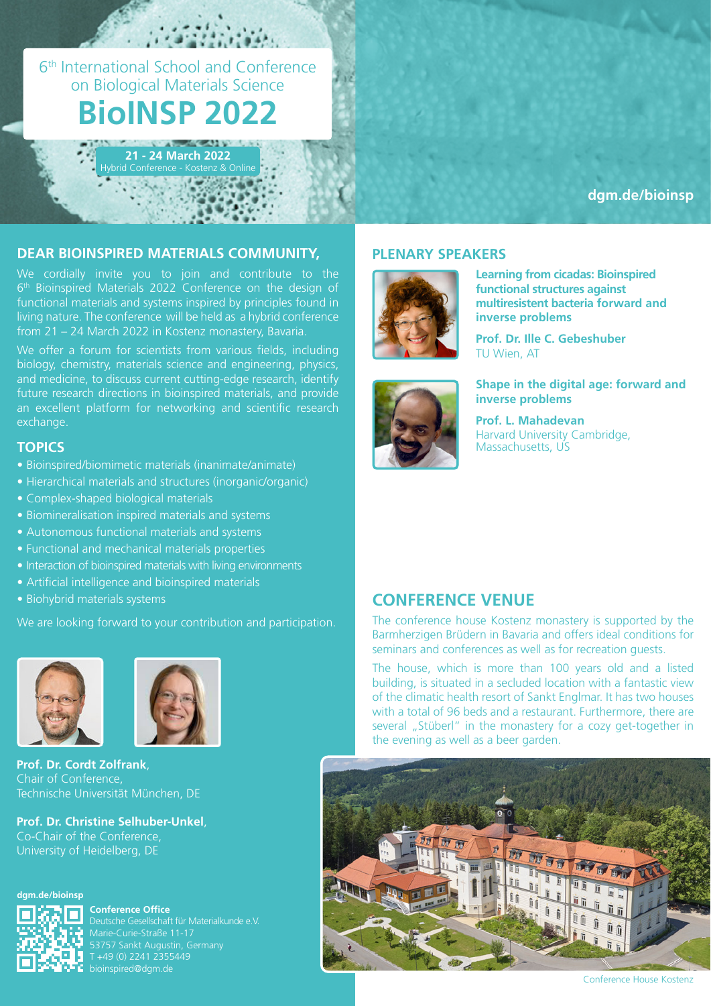6th International School and Conference on Biological Materials Science

# **BioINSP 2022**

**21 - 24 March 2022**

**[dgm.de/bioinsp](https://dgm.de/bioinsp/2022)**

#### **DEAR BIOINSPIRED MATERIALS COMMUNITY, PLENARY SPEAKERS**

We cordially invite you to join and contribute to the 6<sup>th</sup> Bioinspired Materials 2022 Conference on the design of functional materials and systems inspired by principles found in living nature. The conference will be held as a hybrid conference from 21 – 24 March 2022 in Kostenz monastery, Bavaria.

We offer a forum for scientists from various fields, including biology, chemistry, materials science and engineering, physics, and medicine, to discuss current cutting-edge research, identify future research directions in bioinspired materials, and provide an excellent platform for networking and scientific research exchange.

#### **TOPICS**

- Bioinspired/biomimetic materials (inanimate/animate)
- Hierarchical materials and structures (inorganic/organic)
- Complex-shaped biological materials
- Biomineralisation inspired materials and systems
- Autonomous functional materials and systems
- Functional and mechanical materials properties
- Interaction of bioinspired materials with living environments
- Artificial intelligence and bioinspired materials
- Biohybrid materials systems

We are looking forward to your contribution and participation.





**Prof. Dr. Cordt Zolfrank**, Chair of Conference, Technische Universität München, DE

**Prof. Dr. Christine Selhuber-Unkel**, Co-Chair of the Conference, University of Heidelberg, DE





**Conference Office** Deutsche Gesellschaft für Materialkunde e.V. Marie-Curie-Straße 11-17 53757 Sankt Augustin, Germany T +49 (0) 2241 2355449 bioinspired@dgm.de



**Learning from cicadas: Bioinspired functional structures against multiresistent bacteria forward and inverse problems**

**Prof. Dr. Ille C. Gebeshuber**  TU Wien, AT



#### **Shape in the digital age: forward and inverse problems**

**Prof. L. Mahadevan** Harvard University Cambridge, Massachusetts, US

## **CONFERENCE VENUE**

The conference house Kostenz monastery is supported by the Barmherzigen Brüdern in Bavaria and offers ideal conditions for seminars and conferences as well as for recreation guests.

The house, which is more than 100 years old and a listed building, is situated in a secluded location with a fantastic view of the climatic health resort of Sankt Englmar. It has two houses with a total of 96 beds and a restaurant. Furthermore, there are several "Stüberl" in the monastery for a cozy get-together in the evening as well as a beer garden.



Conference House Kostenz